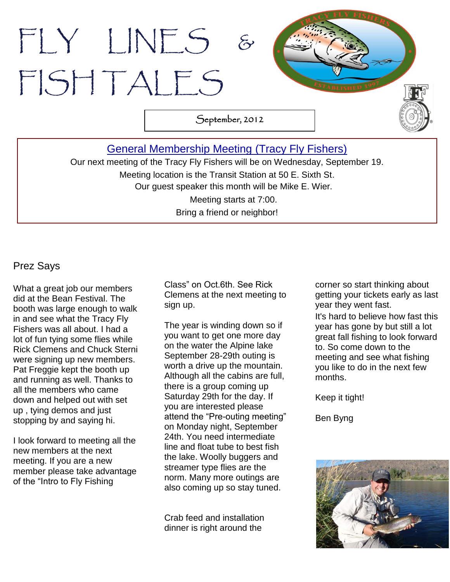# FLY LINES & FISH TALES

September, 2012

### [General Membership Meeting](http://www.tracyflyfishers.org/Home/current-activities) (Tracy Fly Fishers)

Our next meeting of the Tracy Fly Fishers will be on Wednesday, September 19. Meeting location is the Transit Station at 50 E. Sixth St. Our guest speaker this month will be Mike E. Wier. Meeting starts at 7:00. Bring a friend or neighbor!

.

#### Prez Says

What a great job our members did at the Bean Festival. The booth was large enough to walk in and see what the Tracy Fly Fishers was all about. I had a lot of fun tying some flies while Rick Clemens and Chuck Sterni were signing up new members. Pat Freggie kept the booth up and running as well. Thanks to all the members who came down and helped out with set up , tying demos and just stopping by and saying hi.

I look forward to meeting all the new members at the next meeting. If you are a new member please take advantage of the "Intro to Fly Fishing

Class" on Oct.6th. See Rick Clemens at the next meeting to sign up.

The year is winding down so if you want to get one more day on the water the Alpine lake September 28-29th outing is worth a drive up the mountain. Although all the cabins are full, there is a group coming up Saturday 29th for the day. If you are interested please attend the "Pre-outing meeting" on Monday night, September 24th. You need intermediate line and float tube to best fish the lake. Woolly buggers and streamer type flies are the norm. Many more outings are also coming up so stay tuned.

Crab feed and installation dinner is right around the

corner so start thinking about getting your tickets early as last year they went fast.

It's hard to believe how fast this year has gone by but still a lot great fall fishing to look forward to. So come down to the meeting and see what fishing you like to do in the next few months.

Keep it tight!

Ben Byng

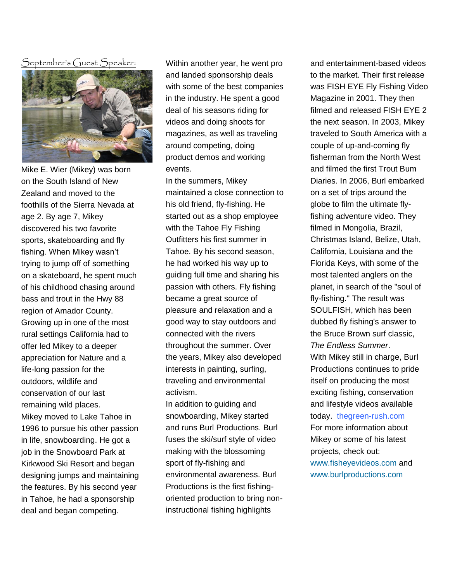$\bar{\mathcal{S}}$ eptember's ( $\bar{\mathcal{S}}$ uest  $\bar{\mathcal{S}}$ peaker:



Mike E. Wier (Mikey) was born on the South Island of New Zealand and moved to the foothills of the Sierra Nevada at age 2. By age 7, Mikey discovered his two favorite sports, skateboarding and fly fishing. When Mikey wasn't trying to jump off of something on a skateboard, he spent much of his childhood chasing around bass and trout in the Hwy 88 region of Amador County. Growing up in one of the most rural settings California had to offer led Mikey to a deeper appreciation for Nature and a life-long passion for the outdoors, wildlife and conservation of our last remaining wild places. Mikey moved to Lake Tahoe in 1996 to pursue his other passion in life, snowboarding. He got a job in the Snowboard Park at Kirkwood Ski Resort and began designing jumps and maintaining the features. By his second year in Tahoe, he had a sponsorship deal and began competing.

Within another year, he went pro and landed sponsorship deals with some of the best companies in the industry. He spent a good deal of his seasons riding for videos and doing shoots for magazines, as well as traveling around competing, doing product demos and working events.

In the summers, Mikey maintained a close connection to his old friend, fly-fishing. He started out as a shop employee with the Tahoe Fly Fishing Outfitters his first summer in Tahoe. By his second season, he had worked his way up to guiding full time and sharing his passion with others. Fly fishing became a great source of pleasure and relaxation and a good way to stay outdoors and connected with the rivers throughout the summer. Over the years, Mikey also developed interests in painting, surfing, traveling and environmental activism.

In addition to guiding and snowboarding, Mikey started and runs Burl Productions. Burl fuses the ski/surf style of video making with the blossoming sport of fly-fishing and environmental awareness. Burl Productions is the first fishingoriented production to bring noninstructional fishing highlights

and entertainment-based videos to the market. Their first release was FISH EYE Fly Fishing Video Magazine in 2001. They then filmed and released FISH EYE 2 the next season. In 2003, Mikey traveled to South America with a couple of up-and-coming fly fisherman from the North West and filmed the first Trout Bum Diaries. In 2006, Burl embarked on a set of trips around the globe to film the ultimate flyfishing adventure video. They filmed in Mongolia, Brazil, Christmas Island, Belize, Utah, California, Louisiana and the Florida Keys, with some of the most talented anglers on the planet, in search of the "soul of fly-fishing." The result was SOULFISH, which has been dubbed fly fishing's answer to the Bruce Brown surf classic, *The Endless Summer*. With Mikey still in charge, Burl Productions continues to pride itself on producing the most exciting fishing, conservation and lifestyle videos available today. thegreen-rush.com For more information about Mikey or some of his latest projects, check out: [www.fisheyevideos.com](http://www.fisheyevideos.com/) and [www.burlproductions.com](http://www.burlproductions.com/)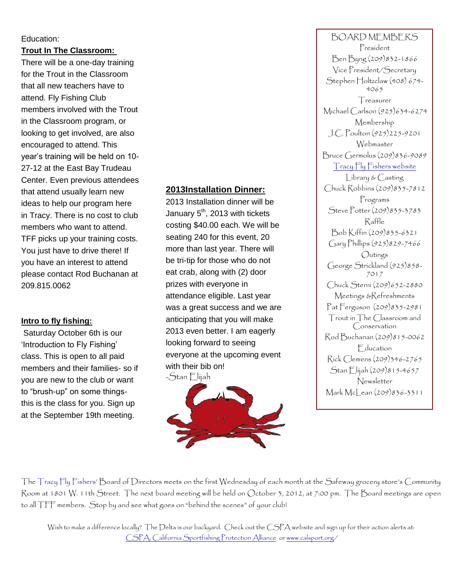#### Education:

**Trout In The Classroom:** 

There will be a one-day training for the Trout in the Classroom that all new teachers have to attend. Fly Fishing Club members involved with the Trout in the Classroom program, or looking to get involved, are also encouraged to attend. This year's training will be held on 10- 27-12 at the East Bay Trudeau Center. Even previous attendees that attend usually learn new ideas to help our program here in Tracy. There is no cost to club members who want to attend. TFF picks up your training costs. You just have to drive there! If you have an interest to attend please contact Rod Buchanan at 209.815.0062

#### **Intro to fly fishing:**

Saturday October 6th is our 'Introduction to Fly Fishing' class. This is open to all paid members and their families- so if you are new to the club or want to "brush-up" on some thingsthis is the class for you. Sign up at the September 19th meeting.

#### **2013Installation Dinner:**

2013 Installation dinner will be January 5<sup>th</sup>, 2013 with tickets costing \$40.00 each. We will be seating 240 for this event, 20 more than last year. There will be tri-tip for those who do not eat crab, along with (2) door prizes with everyone in attendance eligible. Last year was a great success and we are anticipating that you will make 2013 even better. I am eagerly looking forward to seeing everyone at the upcoming event with their bib on!



BOARD MEMBERS President Ben Byng (209)832-1866 Vice President/Secretary Stephen Holtzclaw (408) 674-4065 **T**reasurer Michael Carlson (925)634-6274 Membership J.C. Poulton (925)225-9201 Webmaster Bruce Germolus (209)836-9089 [Tracy Fly Fishers website](http://www.tracyflyfishers.org/Home) Library & Casting Chuck Robbins (209)835-7812 Programs Steve Potter (209)835-3783 Raffle Bob Kiffin (209)835-6321 Gary Phillips (925)829-7466 Outings George Strickland (925)858-7017 Chuck Sterni (209)652-2880 Meetings &Refreshments Pat Ferguson (209)835-2981 Trout in The Classroom and Conservation Rod Buchanan (209)815-0062 Education Rick Clemens (209)346-2765 Stan Elijah (209)815-4657 Newsletter Mark McLean (209)836-3311

 The Tracy Fly Fishers' Board of Directors meets on the first Wednesday of each month at the Safeway grocery store's Community Room at 1801 W. 11th Street. The next board meeting will be held on October 3, 2012, at 7:00 pm. The Board meetings are open to all TFF members. Stop by and see what goes on "behind the scenes" of your club!

Wish to make a difference locally? The Delta is our backyard. Check out the CSPA website and sign up for their action alerts at: [CSPA, California Sportfishing Protection Alliance](http://www.calsport.org/) o[r www.calsport.org/](http://www.calsport.org/)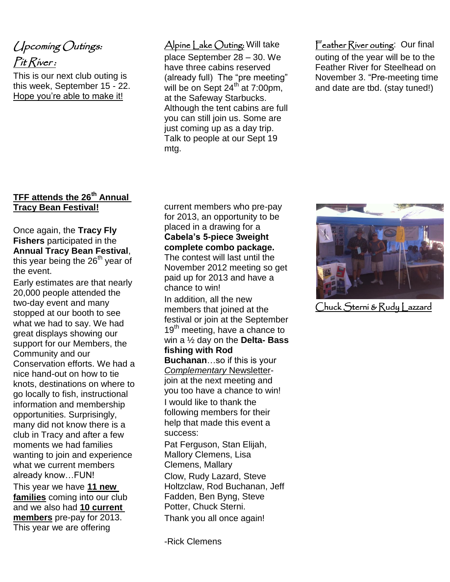# Upcoming Outings: Pit River:

This is our next club outing is this week, September 15 - 22. Hope you're able to make it!

#### **TFF attends the 26th Annual Tracy Bean Festival!**

#### Once again, the **Tracy Fly Fishers** participated in the **Annual Tracy Bean Festival**, this year being the 26<sup>th</sup> year of the event.

Early estimates are that nearly 20,000 people attended the two-day event and many stopped at our booth to see what we had to say. We had great displays showing our support for our Members, the Community and our Conservation efforts. We had a nice hand-out on how to tie knots, destinations on where to go locally to fish, instructional information and membership opportunities. Surprisingly, many did not know there is a club in Tracy and after a few moments we had families wanting to join and experience what we current members already know…FUN! This year we have **11 new families** coming into our club and we also had **10 current members** pre-pay for 2013. This year we are offering

#### Alpine Lake Outing: Will take

place September 28 – 30. We have three cabins reserved (already full) The "pre meeting" will be on Sept  $24^{th}$  at 7:00pm, at the Safeway Starbucks. Although the tent cabins are full you can still join us. Some are just coming up as a day trip. Talk to people at our Sept 19 mtg.

#### Feather River outing: Our final

outing of the year will be to the Feather River for Steelhead on November 3. "Pre-meeting time and date are tbd. (stay tuned!)

current members who pre-pay for 2013, an opportunity to be placed in a drawing for a **Cabela's 5-piece 3weight complete combo package.**

The contest will last until the November 2012 meeting so get paid up for 2013 and have a chance to win!

In addition, all the new members that joined at the festival or join at the September 19<sup>th</sup> meeting, have a chance to win a ½ day on the **Delta- Bass fishing with Rod** 

**Buchanan**…so if this is your *Complementary* Newsletterjoin at the next meeting and you too have a chance to win! I would like to thank the following members for their help that made this event a success:

Pat Ferguson, Stan Elijah, Mallory Clemens, Lisa Clemens, Mallary Clow, Rudy Lazard, Steve Holtzclaw, Rod Buchanan, Jeff Fadden, Ben Byng, Steve Potter, Chuck Sterni. Thank you all once again!

-Rick Clemens



Chuck Sterni & Rudy Lazzard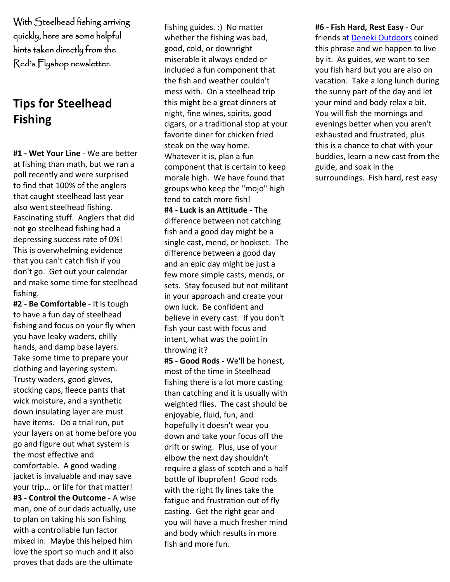With Steelhead fishing arriving quickly, here are some helpful hints taken directly from the Red's Flyshop newsletter:

# **Tips for Steelhead Fishing**

**#1 - Wet Your Line** - We are better at fishing than math, but we ran a poll recently and were surprised to find that 100% of the anglers that caught steelhead last year also went steelhead fishing. Fascinating stuff. Anglers that did not go steelhead fishing had a depressing success rate of 0%! This is overwhelming evidence that you can't catch fish if you don't go. Get out your calendar and make some time for steelhead fishing.

**#2 - Be Comfortable** - It is tough to have a fun day of steelhead fishing and focus on your fly when you have leaky waders, chilly hands, and damp base layers. Take some time to prepare your clothing and layering system. Trusty waders, good gloves, stocking caps, fleece pants that wick moisture, and a synthetic down insulating layer are must have items. Do a trial run, put your layers on at home before you go and figure out what system is the most effective and comfortable. A good wading jacket is invaluable and may save your trip... or life for that matter! **#3 - Control the Outcome** - A wise man, one of our dads actually, use to plan on taking his son fishing with a controllable fun factor mixed in. Maybe this helped him love the sport so much and it also proves that dads are the ultimate

fishing guides. :) No matter whether the fishing was bad, good, cold, or downright miserable it always ended or included a fun component that the fish and weather couldn't mess with. On a steelhead trip this might be a great dinners at night, fine wines, spirits, good cigars, or a traditional stop at your favorite diner for chicken fried steak on the way home. Whatever it is, plan a fun component that is certain to keep morale high. We have found that groups who keep the "mojo" high tend to catch more fish! **#4 - Luck is an Attitude** - The difference between not catching fish and a good day might be a single cast, mend, or hookset. The difference between a good day and an epic day might be just a few more simple casts, mends, or sets. Stay focused but not militant in your approach and create your own luck. Be confident and believe in every cast. If you don't fish your cast with focus and intent, what was the point in throwing it?

**#5 - Good Rods** - We'll be honest, most of the time in Steelhead fishing there is a lot more casting than catching and it is usually with weighted flies. The cast should be enjoyable, fluid, fun, and hopefully it doesn't wear you down and take your focus off the drift or swing. Plus, use of your elbow the next day shouldn't require a glass of scotch and a half bottle of Ibuprofen! Good rods with the right fly lines take the fatigue and frustration out of fly casting. Get the right gear and you will have a much fresher mind and body which results in more fish and more fun.

**#6 - Fish Hard, Rest Easy** - Our friends at [Deneki Outdoors](http://click.icptrack.com/icp/relay.php?r=50463560&msgid=390138&act=CSRD&c=688866&destination=http%3A%2F%2Fwww.deneki.com%2F) coined this phrase and we happen to live by it. As guides, we want to see you fish hard but you are also on vacation. Take a long lunch during the sunny part of the day and let your mind and body relax a bit. You will fish the mornings and evenings better when you aren't exhausted and frustrated, plus this is a chance to chat with your buddies, learn a new cast from the guide, and soak in the surroundings. Fish hard, rest easy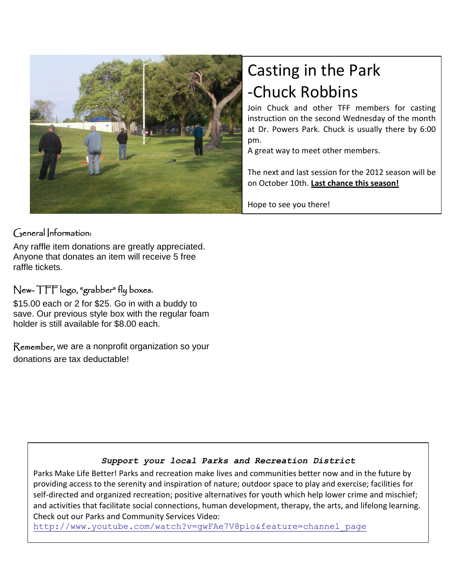

#### General Information:

Any raffle item donations are greatly appreciated. Anyone that donates an item will receive 5 free raffle tickets.

#### New- TFF logo, "grabber" fly boxes.

\$15.00 each or 2 for \$25. Go in with a buddy to save. Our previous style box with the regular foam holder is still available for \$8.00 each.

Remember, we are a nonprofit organization so your donations are tax deductable!

# Casting in the Park -Chuck Robbins

Join Chuck and other TFF members for casting instruction on the second Wednesday of the month at Dr. Powers Park. Chuck is usually there by 6:00 pm.

A great way to meet other members.

The next and last session for the 2012 season will be on October 10th. **Last chance this season!**

Hope to see you there!

#### *Support your local Parks and Recreation District*

Parks Make Life Better! Parks and recreation make lives and communities better now and in the future by providing access to the serenity and inspiration of nature; outdoor space to play and exercise; facilities for self-directed and organized recreation; positive alternatives for youth which help lower crime and mischief; and activities that facilitate social connections, human development, therapy, the arts, and lifelong learning. Check out our Parks and Community Services Video:

[http://www.youtube.com/watch?v=gwFAe7V8pio&feature=channel\\_page](http://www.youtube.com/watch?v=gwFAe7V8pio&feature=channel_page)